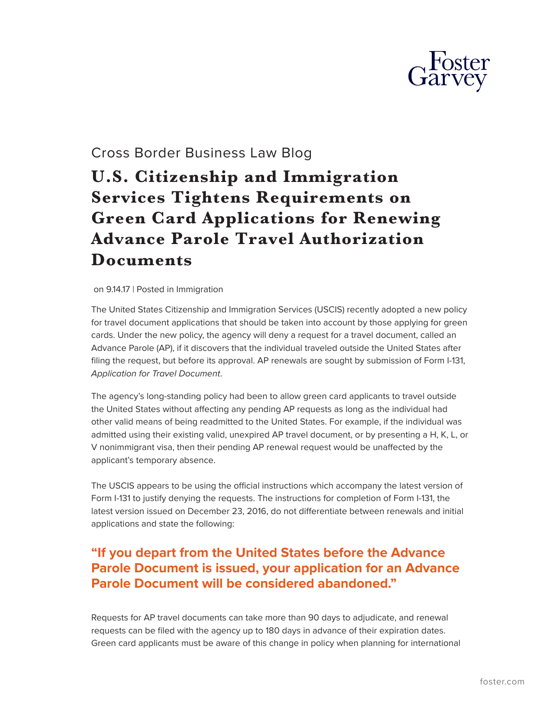

## Cross Border Business Law Blog

## **U.S. Citizenship and Immigration Services Tightens Requirements on Green Card Applications for Renewing Advance Parole Travel Authorization Documents**

## on 9.14.17 | Posted in Immigration

The United States Citizenship and Immigration Services (USCIS) recently adopted a new policy for travel document applications that should be taken into account by those applying for green cards. Under the new policy, the agency will deny a request for a travel document, called an Advance Parole (AP), if it discovers that the individual traveled outside the United States after filing the request, but before its approval. AP renewals are sought by submission of Form I-131, *Application for Travel Document*.

The agency's long-standing policy had been to allow green card applicants to travel outside the United States without affecting any pending AP requests as long as the individual had other valid means of being readmitted to the United States. For example, if the individual was admitted using their existing valid, unexpired AP travel document, or by presenting a H, K, L, or V nonimmigrant visa, then their pending AP renewal request would be unaffected by the applicant's temporary absence.

The USCIS appears to be using the official instructions which accompany the latest version of Form I-131 to justify denying the requests. The instructions for completion of Form I-131, the latest version issued on December 23, 2016, do not differentiate between renewals and initial applications and state the following:

## **"If you depart from the United States before the Advance Parole Document is issued, your application for an Advance Parole Document will be considered abandoned."**

Requests for AP travel documents can take more than 90 days to adjudicate, and renewal requests can be filed with the agency up to 180 days in advance of their expiration dates. Green card applicants must be aware of this change in policy when planning for international